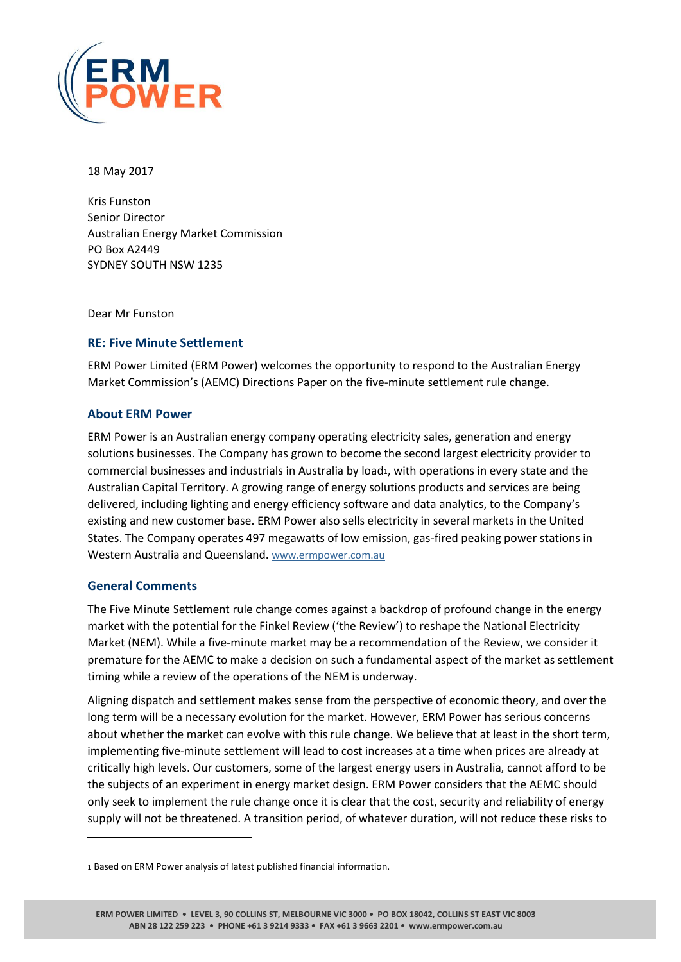

18 May 2017

Kris Funston Senior Director Australian Energy Market Commission PO Box A2449 SYDNEY SOUTH NSW 1235

Dear Mr Funston

## **RE: Five Minute Settlement**

ERM Power Limited (ERM Power) welcomes the opportunity to respond to the Australian Energy Market Commission's (AEMC) Directions Paper on the five-minute settlement rule change.

### **About ERM Power**

ERM Power is an Australian energy company operating electricity sales, generation and energy solutions businesses. The Company has grown to become the second largest electricity provider to commercial businesses and industrials in Australia by load1, with operations in every state and the Australian Capital Territory. A growing range of energy solutions products and services are being delivered, including lighting and energy efficiency software and data analytics, to the Company's existing and new customer base. ERM Power also sells electricity in several markets in the United States. The Company operates 497 megawatts of low emission, gas-fired peaking power stations in Western Australia and Queensland. [www.ermpower.com.au](http://www.ermpower.com.au/)

### **General Comments**

 $\overline{a}$ 

The Five Minute Settlement rule change comes against a backdrop of profound change in the energy market with the potential for the Finkel Review ('the Review') to reshape the National Electricity Market (NEM). While a five-minute market may be a recommendation of the Review, we consider it premature for the AEMC to make a decision on such a fundamental aspect of the market as settlement timing while a review of the operations of the NEM is underway.

Aligning dispatch and settlement makes sense from the perspective of economic theory, and over the long term will be a necessary evolution for the market. However, ERM Power has serious concerns about whether the market can evolve with this rule change. We believe that at least in the short term, implementing five-minute settlement will lead to cost increases at a time when prices are already at critically high levels. Our customers, some of the largest energy users in Australia, cannot afford to be the subjects of an experiment in energy market design. ERM Power considers that the AEMC should only seek to implement the rule change once it is clear that the cost, security and reliability of energy supply will not be threatened. A transition period, of whatever duration, will not reduce these risks to

<sup>1</sup> Based on ERM Power analysis of latest published financial information.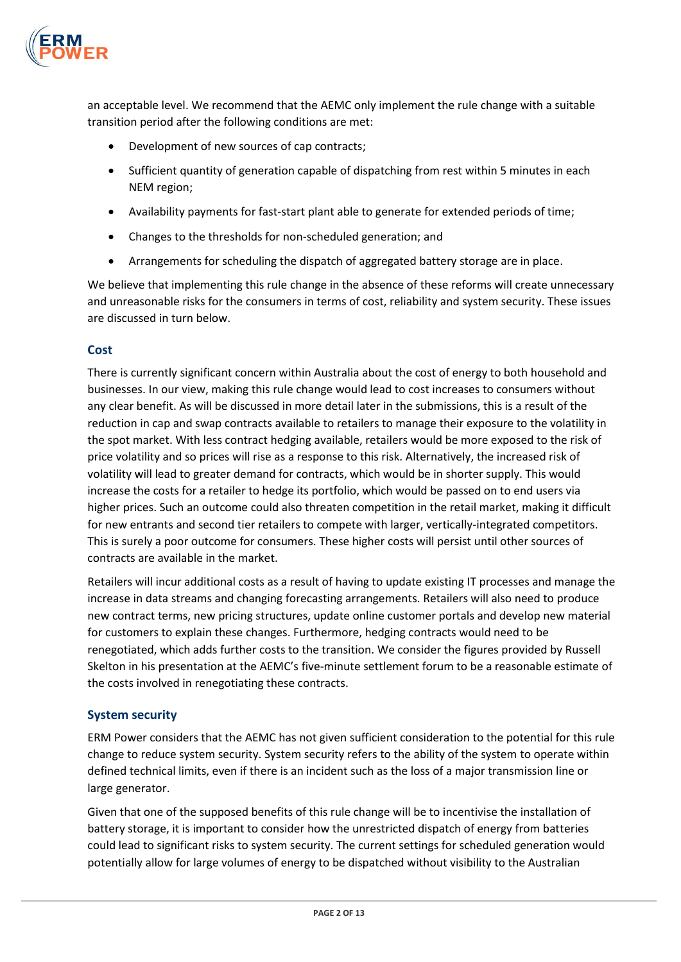

an acceptable level. We recommend that the AEMC only implement the rule change with a suitable transition period after the following conditions are met:

- Development of new sources of cap contracts;
- Sufficient quantity of generation capable of dispatching from rest within 5 minutes in each NEM region;
- Availability payments for fast-start plant able to generate for extended periods of time;
- Changes to the thresholds for non-scheduled generation; and
- Arrangements for scheduling the dispatch of aggregated battery storage are in place.

We believe that implementing this rule change in the absence of these reforms will create unnecessary and unreasonable risks for the consumers in terms of cost, reliability and system security. These issues are discussed in turn below.

## **Cost**

There is currently significant concern within Australia about the cost of energy to both household and businesses. In our view, making this rule change would lead to cost increases to consumers without any clear benefit. As will be discussed in more detail later in the submissions, this is a result of the reduction in cap and swap contracts available to retailers to manage their exposure to the volatility in the spot market. With less contract hedging available, retailers would be more exposed to the risk of price volatility and so prices will rise as a response to this risk. Alternatively, the increased risk of volatility will lead to greater demand for contracts, which would be in shorter supply. This would increase the costs for a retailer to hedge its portfolio, which would be passed on to end users via higher prices. Such an outcome could also threaten competition in the retail market, making it difficult for new entrants and second tier retailers to compete with larger, vertically-integrated competitors. This is surely a poor outcome for consumers. These higher costs will persist until other sources of contracts are available in the market.

Retailers will incur additional costs as a result of having to update existing IT processes and manage the increase in data streams and changing forecasting arrangements. Retailers will also need to produce new contract terms, new pricing structures, update online customer portals and develop new material for customers to explain these changes. Furthermore, hedging contracts would need to be renegotiated, which adds further costs to the transition. We consider the figures provided by Russell Skelton in his presentation at the AEMC's five-minute settlement forum to be a reasonable estimate of the costs involved in renegotiating these contracts.

# **System security**

ERM Power considers that the AEMC has not given sufficient consideration to the potential for this rule change to reduce system security. System security refers to the ability of the system to operate within defined technical limits, even if there is an incident such as the loss of a major transmission line or large generator.

Given that one of the supposed benefits of this rule change will be to incentivise the installation of battery storage, it is important to consider how the unrestricted dispatch of energy from batteries could lead to significant risks to system security. The current settings for scheduled generation would potentially allow for large volumes of energy to be dispatched without visibility to the Australian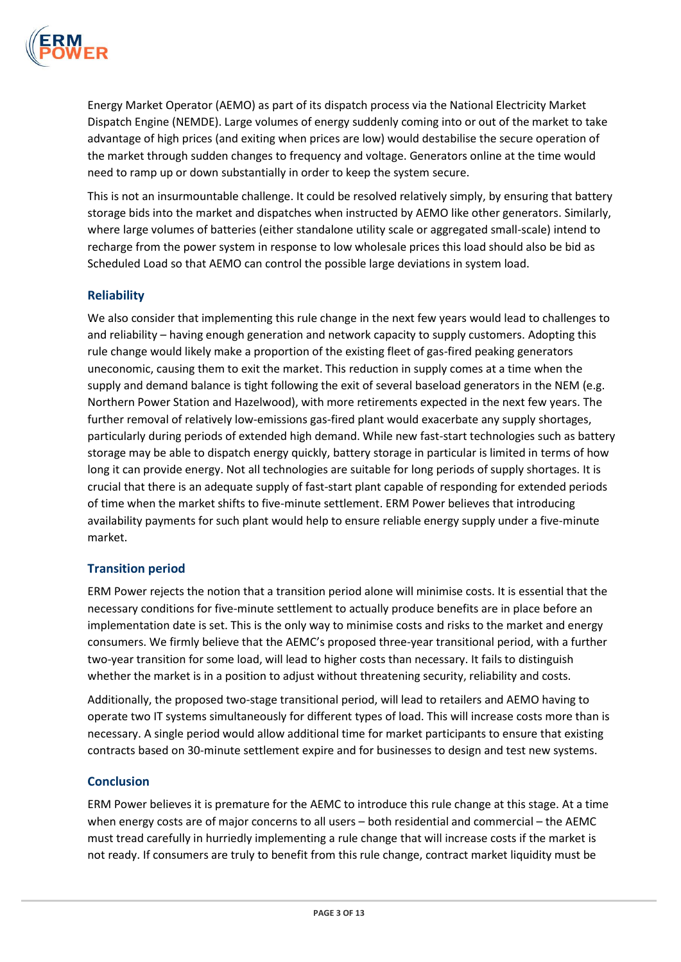

Energy Market Operator (AEMO) as part of its dispatch process via the National Electricity Market Dispatch Engine (NEMDE). Large volumes of energy suddenly coming into or out of the market to take advantage of high prices (and exiting when prices are low) would destabilise the secure operation of the market through sudden changes to frequency and voltage. Generators online at the time would need to ramp up or down substantially in order to keep the system secure.

This is not an insurmountable challenge. It could be resolved relatively simply, by ensuring that battery storage bids into the market and dispatches when instructed by AEMO like other generators. Similarly, where large volumes of batteries (either standalone utility scale or aggregated small-scale) intend to recharge from the power system in response to low wholesale prices this load should also be bid as Scheduled Load so that AEMO can control the possible large deviations in system load.

## **Reliability**

We also consider that implementing this rule change in the next few years would lead to challenges to and reliability – having enough generation and network capacity to supply customers. Adopting this rule change would likely make a proportion of the existing fleet of gas-fired peaking generators uneconomic, causing them to exit the market. This reduction in supply comes at a time when the supply and demand balance is tight following the exit of several baseload generators in the NEM (e.g. Northern Power Station and Hazelwood), with more retirements expected in the next few years. The further removal of relatively low-emissions gas-fired plant would exacerbate any supply shortages, particularly during periods of extended high demand. While new fast-start technologies such as battery storage may be able to dispatch energy quickly, battery storage in particular is limited in terms of how long it can provide energy. Not all technologies are suitable for long periods of supply shortages. It is crucial that there is an adequate supply of fast-start plant capable of responding for extended periods of time when the market shifts to five-minute settlement. ERM Power believes that introducing availability payments for such plant would help to ensure reliable energy supply under a five-minute market.

# **Transition period**

ERM Power rejects the notion that a transition period alone will minimise costs. It is essential that the necessary conditions for five-minute settlement to actually produce benefits are in place before an implementation date is set. This is the only way to minimise costs and risks to the market and energy consumers. We firmly believe that the AEMC's proposed three-year transitional period, with a further two-year transition for some load, will lead to higher costs than necessary. It fails to distinguish whether the market is in a position to adjust without threatening security, reliability and costs.

Additionally, the proposed two-stage transitional period, will lead to retailers and AEMO having to operate two IT systems simultaneously for different types of load. This will increase costs more than is necessary. A single period would allow additional time for market participants to ensure that existing contracts based on 30-minute settlement expire and for businesses to design and test new systems.

### **Conclusion**

ERM Power believes it is premature for the AEMC to introduce this rule change at this stage. At a time when energy costs are of major concerns to all users – both residential and commercial – the AEMC must tread carefully in hurriedly implementing a rule change that will increase costs if the market is not ready. If consumers are truly to benefit from this rule change, contract market liquidity must be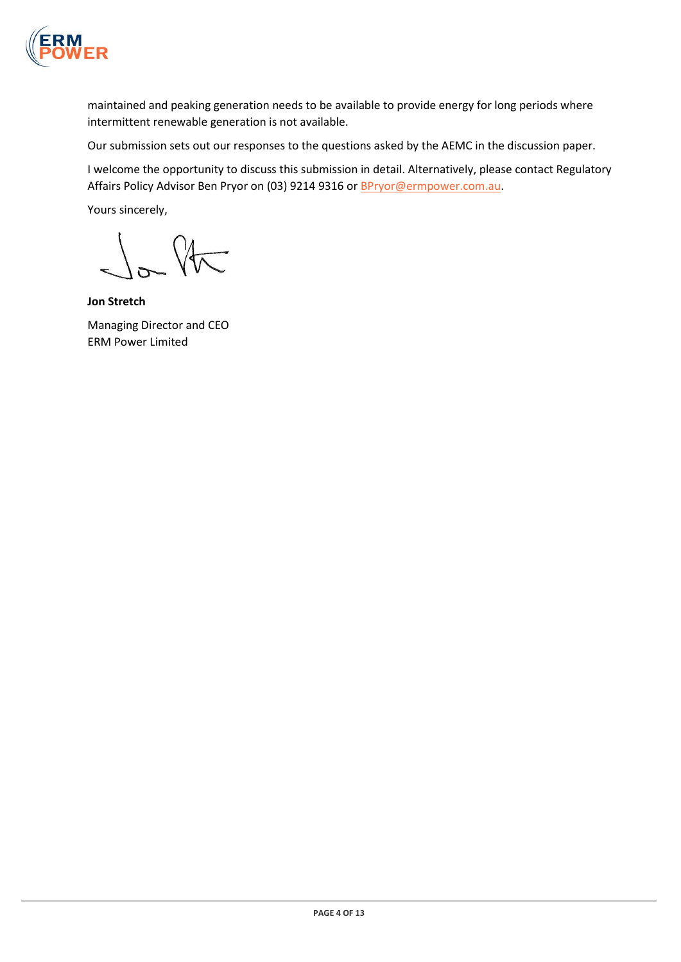

maintained and peaking generation needs to be available to provide energy for long periods where intermittent renewable generation is not available.

Our submission sets out our responses to the questions asked by the AEMC in the discussion paper.

I welcome the opportunity to discuss this submission in detail. Alternatively, please contact Regulatory Affairs Policy Advisor Ben Pryor on (03) 9214 9316 or **BPryor@ermpower.com.au.** 

Yours sincerely,

 $\sqrt{\pi}$ 

**Jon Stretch** Managing Director and CEO ERM Power Limited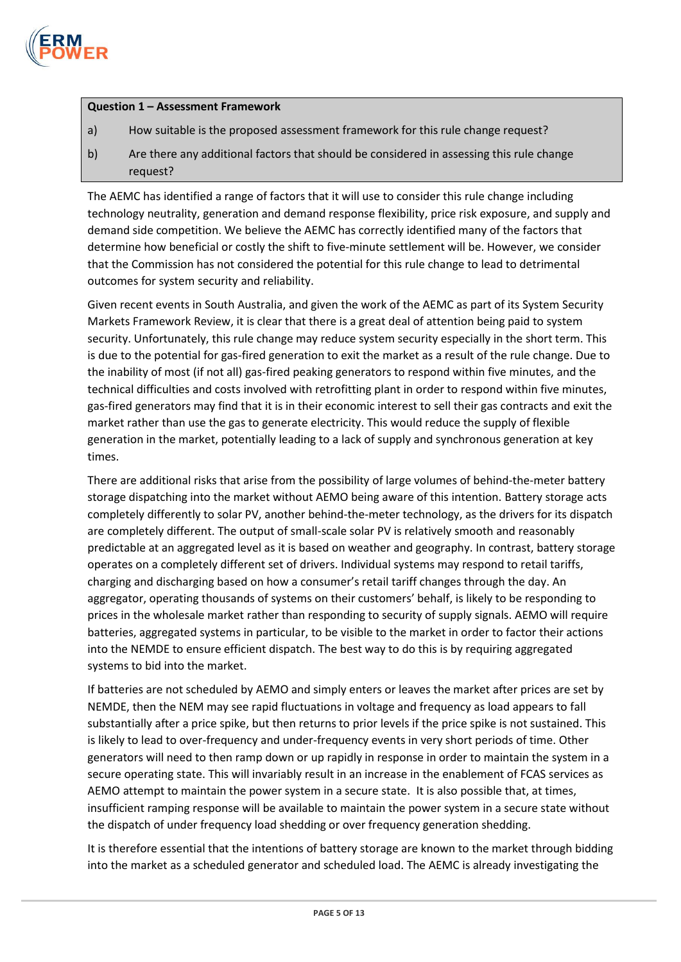

### **Question 1 – Assessment Framework**

- a) How suitable is the proposed assessment framework for this rule change request?
- b) Are there any additional factors that should be considered in assessing this rule change request?

The AEMC has identified a range of factors that it will use to consider this rule change including technology neutrality, generation and demand response flexibility, price risk exposure, and supply and demand side competition. We believe the AEMC has correctly identified many of the factors that determine how beneficial or costly the shift to five-minute settlement will be. However, we consider that the Commission has not considered the potential for this rule change to lead to detrimental outcomes for system security and reliability.

Given recent events in South Australia, and given the work of the AEMC as part of its System Security Markets Framework Review, it is clear that there is a great deal of attention being paid to system security. Unfortunately, this rule change may reduce system security especially in the short term. This is due to the potential for gas-fired generation to exit the market as a result of the rule change. Due to the inability of most (if not all) gas-fired peaking generators to respond within five minutes, and the technical difficulties and costs involved with retrofitting plant in order to respond within five minutes, gas-fired generators may find that it is in their economic interest to sell their gas contracts and exit the market rather than use the gas to generate electricity. This would reduce the supply of flexible generation in the market, potentially leading to a lack of supply and synchronous generation at key times.

There are additional risks that arise from the possibility of large volumes of behind-the-meter battery storage dispatching into the market without AEMO being aware of this intention. Battery storage acts completely differently to solar PV, another behind-the-meter technology, as the drivers for its dispatch are completely different. The output of small-scale solar PV is relatively smooth and reasonably predictable at an aggregated level as it is based on weather and geography. In contrast, battery storage operates on a completely different set of drivers. Individual systems may respond to retail tariffs, charging and discharging based on how a consumer's retail tariff changes through the day. An aggregator, operating thousands of systems on their customers' behalf, is likely to be responding to prices in the wholesale market rather than responding to security of supply signals. AEMO will require batteries, aggregated systems in particular, to be visible to the market in order to factor their actions into the NEMDE to ensure efficient dispatch. The best way to do this is by requiring aggregated systems to bid into the market.

If batteries are not scheduled by AEMO and simply enters or leaves the market after prices are set by NEMDE, then the NEM may see rapid fluctuations in voltage and frequency as load appears to fall substantially after a price spike, but then returns to prior levels if the price spike is not sustained. This is likely to lead to over-frequency and under-frequency events in very short periods of time. Other generators will need to then ramp down or up rapidly in response in order to maintain the system in a secure operating state. This will invariably result in an increase in the enablement of FCAS services as AEMO attempt to maintain the power system in a secure state. It is also possible that, at times, insufficient ramping response will be available to maintain the power system in a secure state without the dispatch of under frequency load shedding or over frequency generation shedding.

It is therefore essential that the intentions of battery storage are known to the market through bidding into the market as a scheduled generator and scheduled load. The AEMC is already investigating the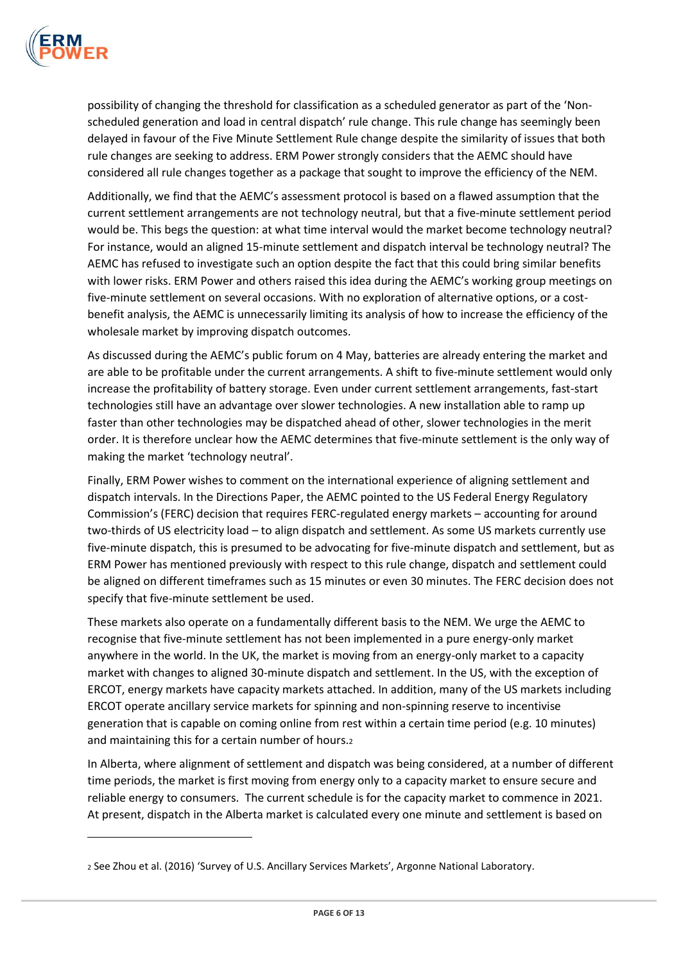

 $\overline{a}$ 

possibility of changing the threshold for classification as a scheduled generator as part of the 'Nonscheduled generation and load in central dispatch' rule change. This rule change has seemingly been delayed in favour of the Five Minute Settlement Rule change despite the similarity of issues that both rule changes are seeking to address. ERM Power strongly considers that the AEMC should have considered all rule changes together as a package that sought to improve the efficiency of the NEM.

Additionally, we find that the AEMC's assessment protocol is based on a flawed assumption that the current settlement arrangements are not technology neutral, but that a five-minute settlement period would be. This begs the question: at what time interval would the market become technology neutral? For instance, would an aligned 15-minute settlement and dispatch interval be technology neutral? The AEMC has refused to investigate such an option despite the fact that this could bring similar benefits with lower risks. ERM Power and others raised this idea during the AEMC's working group meetings on five-minute settlement on several occasions. With no exploration of alternative options, or a costbenefit analysis, the AEMC is unnecessarily limiting its analysis of how to increase the efficiency of the wholesale market by improving dispatch outcomes.

As discussed during the AEMC's public forum on 4 May, batteries are already entering the market and are able to be profitable under the current arrangements. A shift to five-minute settlement would only increase the profitability of battery storage. Even under current settlement arrangements, fast-start technologies still have an advantage over slower technologies. A new installation able to ramp up faster than other technologies may be dispatched ahead of other, slower technologies in the merit order. It is therefore unclear how the AEMC determines that five-minute settlement is the only way of making the market 'technology neutral'.

Finally, ERM Power wishes to comment on the international experience of aligning settlement and dispatch intervals. In the Directions Paper, the AEMC pointed to the US Federal Energy Regulatory Commission's (FERC) decision that requires FERC-regulated energy markets – accounting for around two-thirds of US electricity load – to align dispatch and settlement. As some US markets currently use five-minute dispatch, this is presumed to be advocating for five-minute dispatch and settlement, but as ERM Power has mentioned previously with respect to this rule change, dispatch and settlement could be aligned on different timeframes such as 15 minutes or even 30 minutes. The FERC decision does not specify that five-minute settlement be used.

These markets also operate on a fundamentally different basis to the NEM. We urge the AEMC to recognise that five-minute settlement has not been implemented in a pure energy-only market anywhere in the world. In the UK, the market is moving from an energy-only market to a capacity market with changes to aligned 30-minute dispatch and settlement. In the US, with the exception of ERCOT, energy markets have capacity markets attached. In addition, many of the US markets including ERCOT operate ancillary service markets for spinning and non-spinning reserve to incentivise generation that is capable on coming online from rest within a certain time period (e.g. 10 minutes) and maintaining this for a certain number of hours.<sup>2</sup>

In Alberta, where alignment of settlement and dispatch was being considered, at a number of different time periods, the market is first moving from energy only to a capacity market to ensure secure and reliable energy to consumers. The current schedule is for the capacity market to commence in 2021. At present, dispatch in the Alberta market is calculated every one minute and settlement is based on

<sup>2</sup> See Zhou et al. (2016) 'Survey of U.S. Ancillary Services Markets', Argonne National Laboratory.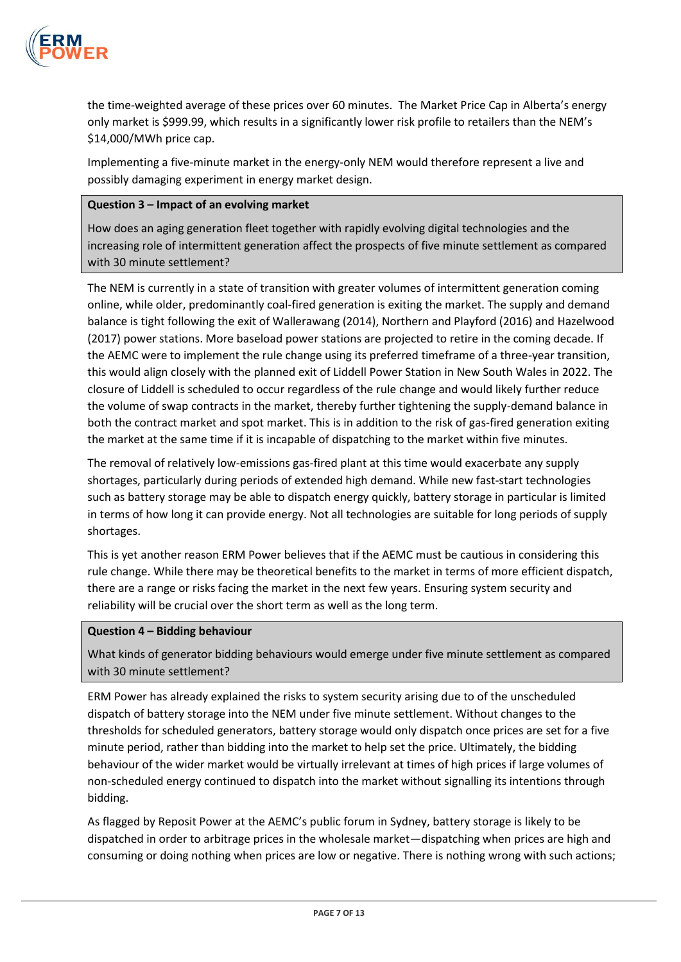

the time-weighted average of these prices over 60 minutes. The Market Price Cap in Alberta's energy only market is \$999.99, which results in a significantly lower risk profile to retailers than the NEM's \$14,000/MWh price cap.

Implementing a five-minute market in the energy-only NEM would therefore represent a live and possibly damaging experiment in energy market design.

### **Question 3 – Impact of an evolving market**

How does an aging generation fleet together with rapidly evolving digital technologies and the increasing role of intermittent generation affect the prospects of five minute settlement as compared with 30 minute settlement?

The NEM is currently in a state of transition with greater volumes of intermittent generation coming online, while older, predominantly coal-fired generation is exiting the market. The supply and demand balance is tight following the exit of Wallerawang (2014), Northern and Playford (2016) and Hazelwood (2017) power stations. More baseload power stations are projected to retire in the coming decade. If the AEMC were to implement the rule change using its preferred timeframe of a three-year transition, this would align closely with the planned exit of Liddell Power Station in New South Wales in 2022. The closure of Liddell is scheduled to occur regardless of the rule change and would likely further reduce the volume of swap contracts in the market, thereby further tightening the supply-demand balance in both the contract market and spot market. This is in addition to the risk of gas-fired generation exiting the market at the same time if it is incapable of dispatching to the market within five minutes.

The removal of relatively low-emissions gas-fired plant at this time would exacerbate any supply shortages, particularly during periods of extended high demand. While new fast-start technologies such as battery storage may be able to dispatch energy quickly, battery storage in particular is limited in terms of how long it can provide energy. Not all technologies are suitable for long periods of supply shortages.

This is yet another reason ERM Power believes that if the AEMC must be cautious in considering this rule change. While there may be theoretical benefits to the market in terms of more efficient dispatch, there are a range or risks facing the market in the next few years. Ensuring system security and reliability will be crucial over the short term as well as the long term.

## **Question 4 – Bidding behaviour**

What kinds of generator bidding behaviours would emerge under five minute settlement as compared with 30 minute settlement?

ERM Power has already explained the risks to system security arising due to of the unscheduled dispatch of battery storage into the NEM under five minute settlement. Without changes to the thresholds for scheduled generators, battery storage would only dispatch once prices are set for a five minute period, rather than bidding into the market to help set the price. Ultimately, the bidding behaviour of the wider market would be virtually irrelevant at times of high prices if large volumes of non-scheduled energy continued to dispatch into the market without signalling its intentions through bidding.

As flagged by Reposit Power at the AEMC's public forum in Sydney, battery storage is likely to be dispatched in order to arbitrage prices in the wholesale market—dispatching when prices are high and consuming or doing nothing when prices are low or negative. There is nothing wrong with such actions;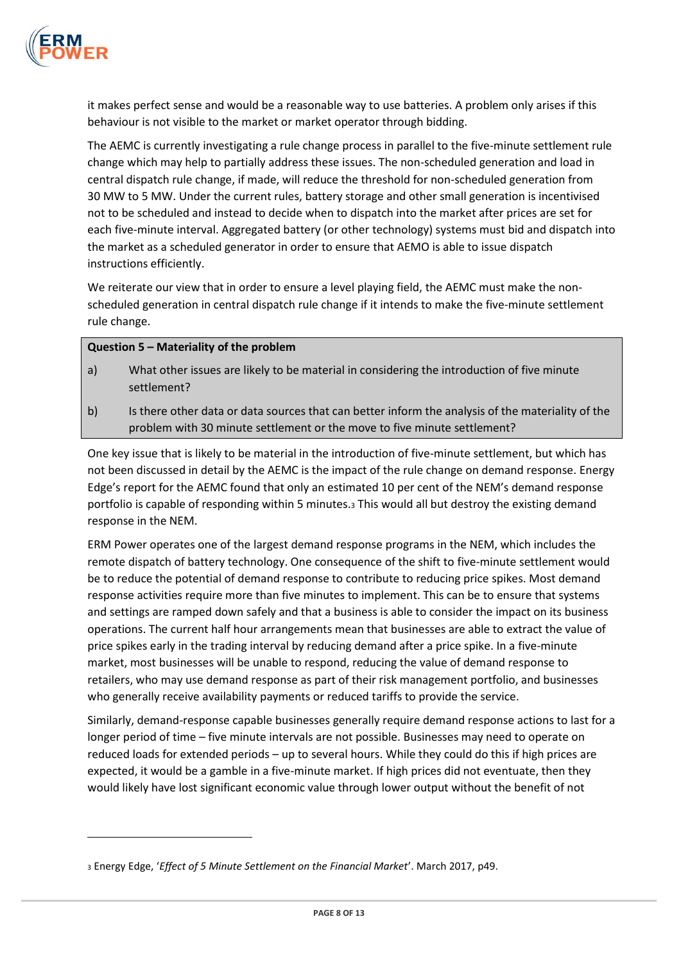

 $\overline{a}$ 

it makes perfect sense and would be a reasonable way to use batteries. A problem only arises if this behaviour is not visible to the market or market operator through bidding.

The AEMC is currently investigating a rule change process in parallel to the five-minute settlement rule change which may help to partially address these issues. The non-scheduled generation and load in central dispatch rule change, if made, will reduce the threshold for non-scheduled generation from 30 MW to 5 MW. Under the current rules, battery storage and other small generation is incentivised not to be scheduled and instead to decide when to dispatch into the market after prices are set for each five-minute interval. Aggregated battery (or other technology) systems must bid and dispatch into the market as a scheduled generator in order to ensure that AEMO is able to issue dispatch instructions efficiently.

We reiterate our view that in order to ensure a level playing field, the AEMC must make the nonscheduled generation in central dispatch rule change if it intends to make the five-minute settlement rule change.

### **Question 5 – Materiality of the problem**

- a) What other issues are likely to be material in considering the introduction of five minute settlement?
- b) Is there other data or data sources that can better inform the analysis of the materiality of the problem with 30 minute settlement or the move to five minute settlement?

One key issue that is likely to be material in the introduction of five-minute settlement, but which has not been discussed in detail by the AEMC is the impact of the rule change on demand response. Energy Edge's report for the AEMC found that only an estimated 10 per cent of the NEM's demand response portfolio is capable of responding within 5 minutes.<sup>3</sup> This would all but destroy the existing demand response in the NEM.

ERM Power operates one of the largest demand response programs in the NEM, which includes the remote dispatch of battery technology. One consequence of the shift to five-minute settlement would be to reduce the potential of demand response to contribute to reducing price spikes. Most demand response activities require more than five minutes to implement. This can be to ensure that systems and settings are ramped down safely and that a business is able to consider the impact on its business operations. The current half hour arrangements mean that businesses are able to extract the value of price spikes early in the trading interval by reducing demand after a price spike. In a five-minute market, most businesses will be unable to respond, reducing the value of demand response to retailers, who may use demand response as part of their risk management portfolio, and businesses who generally receive availability payments or reduced tariffs to provide the service.

Similarly, demand-response capable businesses generally require demand response actions to last for a longer period of time – five minute intervals are not possible. Businesses may need to operate on reduced loads for extended periods – up to several hours. While they could do this if high prices are expected, it would be a gamble in a five-minute market. If high prices did not eventuate, then they would likely have lost significant economic value through lower output without the benefit of not

<sup>3</sup> Energy Edge, '*Effect of 5 Minute Settlement on the Financial Market*'. March 2017, p49.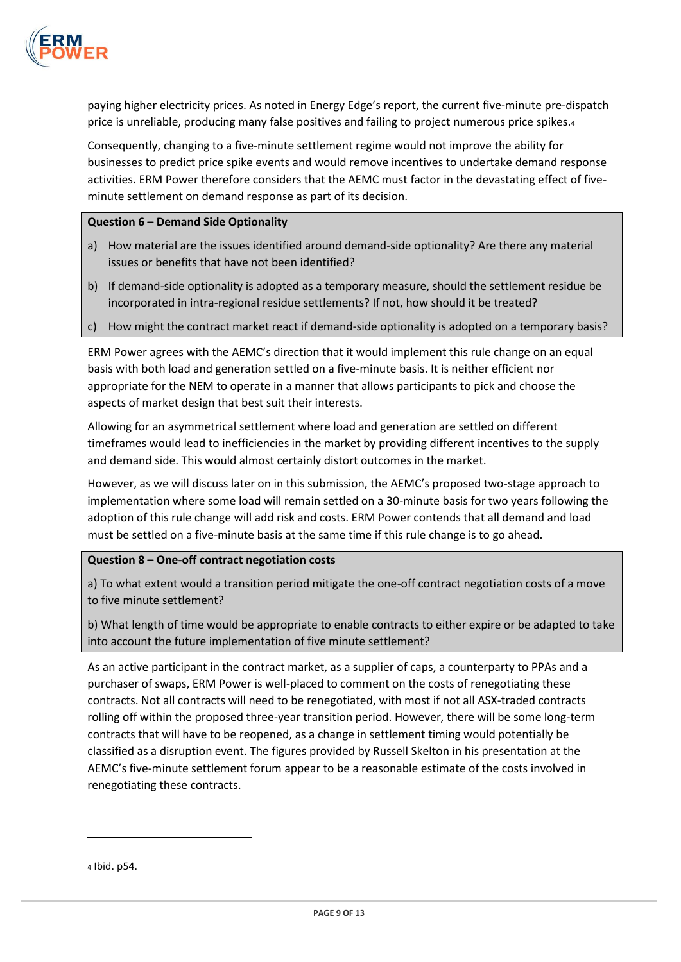

paying higher electricity prices. As noted in Energy Edge's report, the current five-minute pre-dispatch price is unreliable, producing many false positives and failing to project numerous price spikes.<sup>4</sup>

Consequently, changing to a five-minute settlement regime would not improve the ability for businesses to predict price spike events and would remove incentives to undertake demand response activities. ERM Power therefore considers that the AEMC must factor in the devastating effect of fiveminute settlement on demand response as part of its decision.

#### **Question 6 – Demand Side Optionality**

- a) How material are the issues identified around demand-side optionality? Are there any material issues or benefits that have not been identified?
- b) If demand-side optionality is adopted as a temporary measure, should the settlement residue be incorporated in intra-regional residue settlements? If not, how should it be treated?
- c) How might the contract market react if demand-side optionality is adopted on a temporary basis?

ERM Power agrees with the AEMC's direction that it would implement this rule change on an equal basis with both load and generation settled on a five-minute basis. It is neither efficient nor appropriate for the NEM to operate in a manner that allows participants to pick and choose the aspects of market design that best suit their interests.

Allowing for an asymmetrical settlement where load and generation are settled on different timeframes would lead to inefficiencies in the market by providing different incentives to the supply and demand side. This would almost certainly distort outcomes in the market.

However, as we will discuss later on in this submission, the AEMC's proposed two-stage approach to implementation where some load will remain settled on a 30-minute basis for two years following the adoption of this rule change will add risk and costs. ERM Power contends that all demand and load must be settled on a five-minute basis at the same time if this rule change is to go ahead.

#### **Question 8 – One-off contract negotiation costs**

a) To what extent would a transition period mitigate the one-off contract negotiation costs of a move to five minute settlement?

b) What length of time would be appropriate to enable contracts to either expire or be adapted to take into account the future implementation of five minute settlement?

As an active participant in the contract market, as a supplier of caps, a counterparty to PPAs and a purchaser of swaps, ERM Power is well-placed to comment on the costs of renegotiating these contracts. Not all contracts will need to be renegotiated, with most if not all ASX-traded contracts rolling off within the proposed three-year transition period. However, there will be some long-term contracts that will have to be reopened, as a change in settlement timing would potentially be classified as a disruption event. The figures provided by Russell Skelton in his presentation at the AEMC's five-minute settlement forum appear to be a reasonable estimate of the costs involved in renegotiating these contracts.

 $\overline{a}$ 

<sup>4</sup> Ibid. p54.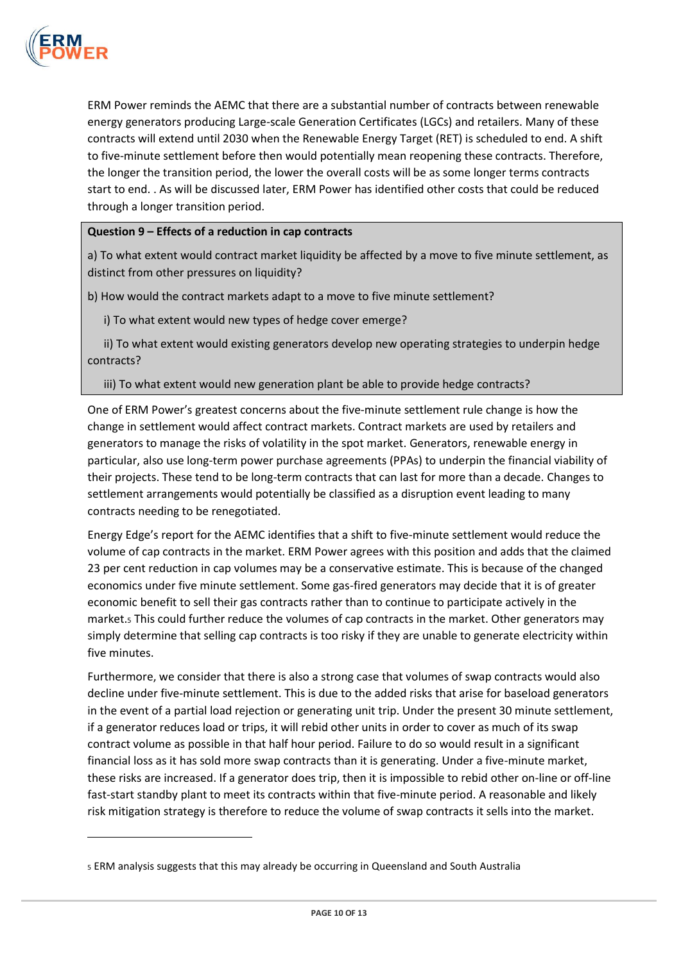

 $\overline{a}$ 

ERM Power reminds the AEMC that there are a substantial number of contracts between renewable energy generators producing Large-scale Generation Certificates (LGCs) and retailers. Many of these contracts will extend until 2030 when the Renewable Energy Target (RET) is scheduled to end. A shift to five-minute settlement before then would potentially mean reopening these contracts. Therefore, the longer the transition period, the lower the overall costs will be as some longer terms contracts start to end. . As will be discussed later, ERM Power has identified other costs that could be reduced through a longer transition period.

## **Question 9 – Effects of a reduction in cap contracts**

a) To what extent would contract market liquidity be affected by a move to five minute settlement, as distinct from other pressures on liquidity?

b) How would the contract markets adapt to a move to five minute settlement?

i) To what extent would new types of hedge cover emerge?

ii) To what extent would existing generators develop new operating strategies to underpin hedge contracts?

iii) To what extent would new generation plant be able to provide hedge contracts?

One of ERM Power's greatest concerns about the five-minute settlement rule change is how the change in settlement would affect contract markets. Contract markets are used by retailers and generators to manage the risks of volatility in the spot market. Generators, renewable energy in particular, also use long-term power purchase agreements (PPAs) to underpin the financial viability of their projects. These tend to be long-term contracts that can last for more than a decade. Changes to settlement arrangements would potentially be classified as a disruption event leading to many contracts needing to be renegotiated.

Energy Edge's report for the AEMC identifies that a shift to five-minute settlement would reduce the volume of cap contracts in the market. ERM Power agrees with this position and adds that the claimed 23 per cent reduction in cap volumes may be a conservative estimate. This is because of the changed economics under five minute settlement. Some gas-fired generators may decide that it is of greater economic benefit to sell their gas contracts rather than to continue to participate actively in the market.<sup>5</sup> This could further reduce the volumes of cap contracts in the market. Other generators may simply determine that selling cap contracts is too risky if they are unable to generate electricity within five minutes.

Furthermore, we consider that there is also a strong case that volumes of swap contracts would also decline under five-minute settlement. This is due to the added risks that arise for baseload generators in the event of a partial load rejection or generating unit trip. Under the present 30 minute settlement, if a generator reduces load or trips, it will rebid other units in order to cover as much of its swap contract volume as possible in that half hour period. Failure to do so would result in a significant financial loss as it has sold more swap contracts than it is generating. Under a five-minute market, these risks are increased. If a generator does trip, then it is impossible to rebid other on-line or off-line fast-start standby plant to meet its contracts within that five-minute period. A reasonable and likely risk mitigation strategy is therefore to reduce the volume of swap contracts it sells into the market.

<sup>5</sup> ERM analysis suggests that this may already be occurring in Queensland and South Australia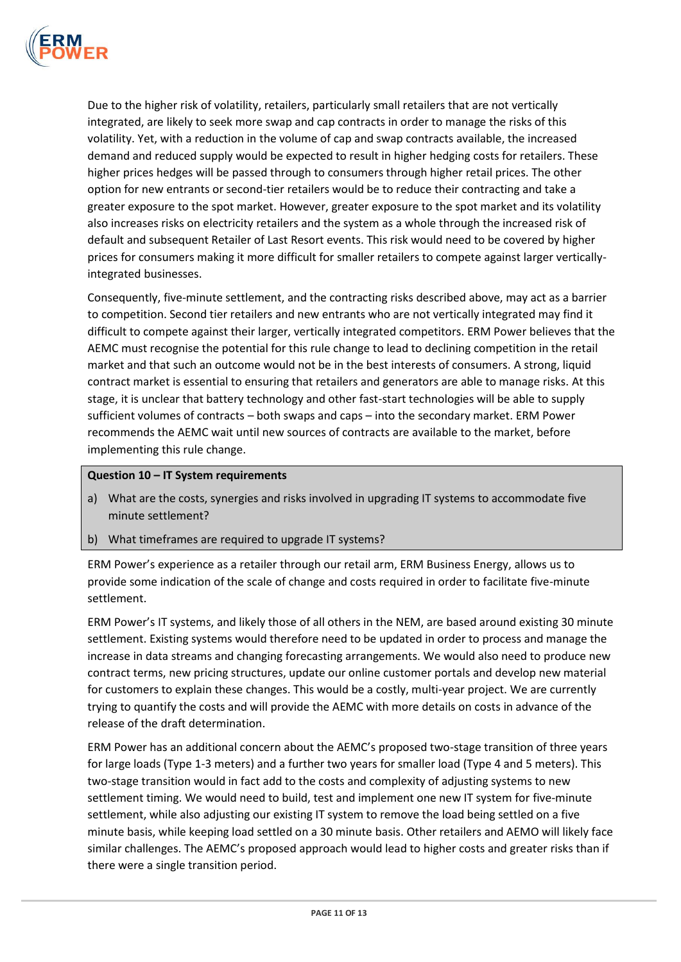

Due to the higher risk of volatility, retailers, particularly small retailers that are not vertically integrated, are likely to seek more swap and cap contracts in order to manage the risks of this volatility. Yet, with a reduction in the volume of cap and swap contracts available, the increased demand and reduced supply would be expected to result in higher hedging costs for retailers. These higher prices hedges will be passed through to consumers through higher retail prices. The other option for new entrants or second-tier retailers would be to reduce their contracting and take a greater exposure to the spot market. However, greater exposure to the spot market and its volatility also increases risks on electricity retailers and the system as a whole through the increased risk of default and subsequent Retailer of Last Resort events. This risk would need to be covered by higher prices for consumers making it more difficult for smaller retailers to compete against larger verticallyintegrated businesses.

Consequently, five-minute settlement, and the contracting risks described above, may act as a barrier to competition. Second tier retailers and new entrants who are not vertically integrated may find it difficult to compete against their larger, vertically integrated competitors. ERM Power believes that the AEMC must recognise the potential for this rule change to lead to declining competition in the retail market and that such an outcome would not be in the best interests of consumers. A strong, liquid contract market is essential to ensuring that retailers and generators are able to manage risks. At this stage, it is unclear that battery technology and other fast-start technologies will be able to supply sufficient volumes of contracts – both swaps and caps – into the secondary market. ERM Power recommends the AEMC wait until new sources of contracts are available to the market, before implementing this rule change.

## **Question 10 – IT System requirements**

- a) What are the costs, synergies and risks involved in upgrading IT systems to accommodate five minute settlement?
- b) What timeframes are required to upgrade IT systems?

ERM Power's experience as a retailer through our retail arm, ERM Business Energy, allows us to provide some indication of the scale of change and costs required in order to facilitate five-minute settlement.

ERM Power's IT systems, and likely those of all others in the NEM, are based around existing 30 minute settlement. Existing systems would therefore need to be updated in order to process and manage the increase in data streams and changing forecasting arrangements. We would also need to produce new contract terms, new pricing structures, update our online customer portals and develop new material for customers to explain these changes. This would be a costly, multi-year project. We are currently trying to quantify the costs and will provide the AEMC with more details on costs in advance of the release of the draft determination.

ERM Power has an additional concern about the AEMC's proposed two-stage transition of three years for large loads (Type 1-3 meters) and a further two years for smaller load (Type 4 and 5 meters). This two-stage transition would in fact add to the costs and complexity of adjusting systems to new settlement timing. We would need to build, test and implement one new IT system for five-minute settlement, while also adjusting our existing IT system to remove the load being settled on a five minute basis, while keeping load settled on a 30 minute basis. Other retailers and AEMO will likely face similar challenges. The AEMC's proposed approach would lead to higher costs and greater risks than if there were a single transition period.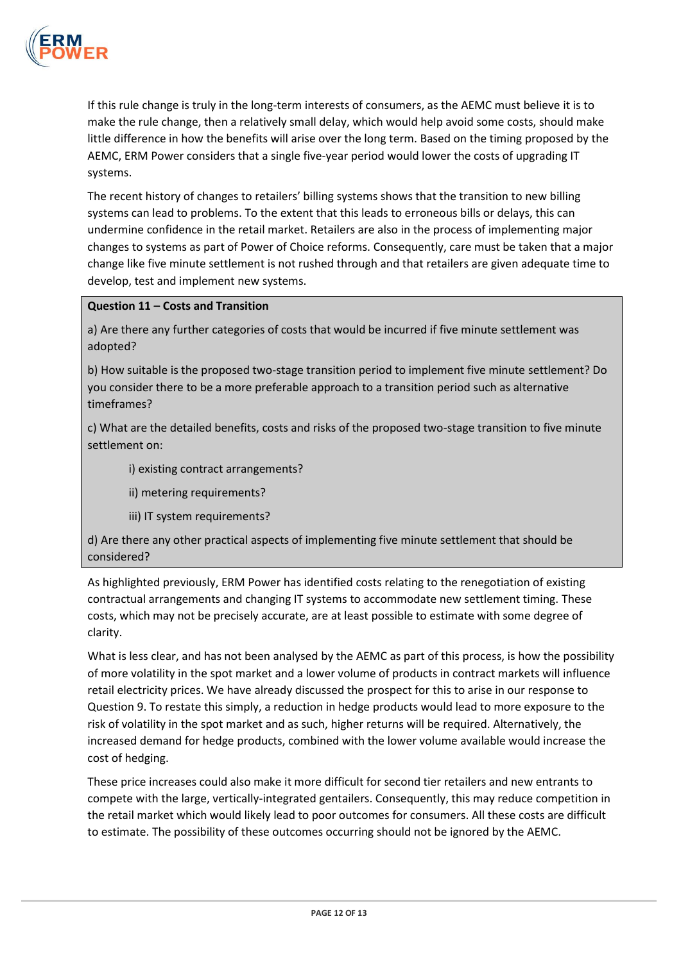

If this rule change is truly in the long-term interests of consumers, as the AEMC must believe it is to make the rule change, then a relatively small delay, which would help avoid some costs, should make little difference in how the benefits will arise over the long term. Based on the timing proposed by the AEMC, ERM Power considers that a single five-year period would lower the costs of upgrading IT systems.

The recent history of changes to retailers' billing systems shows that the transition to new billing systems can lead to problems. To the extent that this leads to erroneous bills or delays, this can undermine confidence in the retail market. Retailers are also in the process of implementing major changes to systems as part of Power of Choice reforms. Consequently, care must be taken that a major change like five minute settlement is not rushed through and that retailers are given adequate time to develop, test and implement new systems.

### **Question 11 – Costs and Transition**

a) Are there any further categories of costs that would be incurred if five minute settlement was adopted?

b) How suitable is the proposed two-stage transition period to implement five minute settlement? Do you consider there to be a more preferable approach to a transition period such as alternative timeframes?

c) What are the detailed benefits, costs and risks of the proposed two-stage transition to five minute settlement on:

i) existing contract arrangements?

ii) metering requirements?

iii) IT system requirements?

d) Are there any other practical aspects of implementing five minute settlement that should be considered?

As highlighted previously, ERM Power has identified costs relating to the renegotiation of existing contractual arrangements and changing IT systems to accommodate new settlement timing. These costs, which may not be precisely accurate, are at least possible to estimate with some degree of clarity.

What is less clear, and has not been analysed by the AEMC as part of this process, is how the possibility of more volatility in the spot market and a lower volume of products in contract markets will influence retail electricity prices. We have already discussed the prospect for this to arise in our response to Question 9. To restate this simply, a reduction in hedge products would lead to more exposure to the risk of volatility in the spot market and as such, higher returns will be required. Alternatively, the increased demand for hedge products, combined with the lower volume available would increase the cost of hedging.

These price increases could also make it more difficult for second tier retailers and new entrants to compete with the large, vertically-integrated gentailers. Consequently, this may reduce competition in the retail market which would likely lead to poor outcomes for consumers. All these costs are difficult to estimate. The possibility of these outcomes occurring should not be ignored by the AEMC.